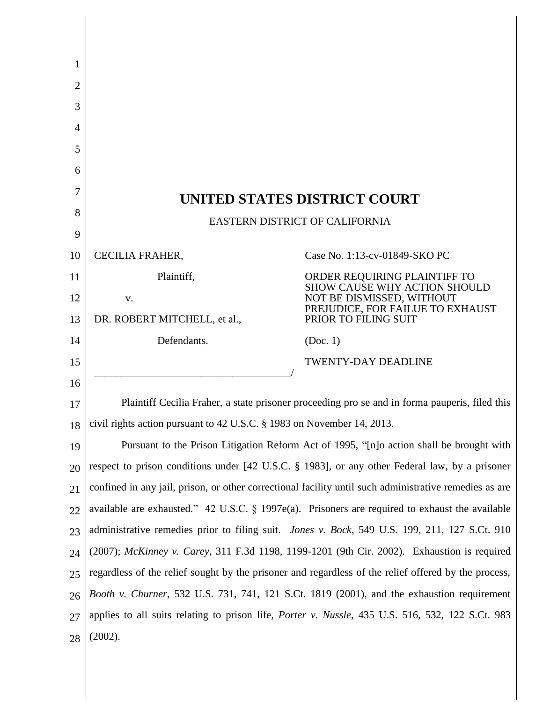| 1              |                                                                                                          |                                                                                                                                                       |
|----------------|----------------------------------------------------------------------------------------------------------|-------------------------------------------------------------------------------------------------------------------------------------------------------|
| $\overline{2}$ |                                                                                                          |                                                                                                                                                       |
| 3              |                                                                                                          |                                                                                                                                                       |
| 4              |                                                                                                          |                                                                                                                                                       |
| 5              |                                                                                                          |                                                                                                                                                       |
| 6              |                                                                                                          |                                                                                                                                                       |
| 7              | UNITED STATES DISTRICT COURT                                                                             |                                                                                                                                                       |
| 8              | EASTERN DISTRICT OF CALIFORNIA                                                                           |                                                                                                                                                       |
| 9              |                                                                                                          |                                                                                                                                                       |
| 10             | CECILIA FRAHER,                                                                                          | Case No. 1:13-cv-01849-SKO PC                                                                                                                         |
| 11             | Plaintiff,                                                                                               | ORDER REQUIRING PLAINTIFF TO<br>SHOW CAUSE WHY ACTION SHOULD<br>NOT BE DISMISSED, WITHOUT<br>PREJUDICE, FOR FAILUE TO EXHAUST<br>PRIOR TO FILING SUIT |
| 12             | V.                                                                                                       |                                                                                                                                                       |
| 13             | DR. ROBERT MITCHELL, et al.,                                                                             |                                                                                                                                                       |
| 14             | Defendants.                                                                                              | (Doc. 1)                                                                                                                                              |
| 15             |                                                                                                          | <b>TWENTY-DAY DEADLINE</b>                                                                                                                            |
| 16             |                                                                                                          |                                                                                                                                                       |
| 17             | Plaintiff Cecilia Fraher, a state prisoner proceeding pro se and in forma pauperis, filed this           |                                                                                                                                                       |
| 18             | civil rights action pursuant to 42 U.S.C. § 1983 on November 14, 2013.                                   |                                                                                                                                                       |
| 19             | Pursuant to the Prison Litigation Reform Act of 1995, "[n]o action shall be brought with                 |                                                                                                                                                       |
| 20             | respect to prison conditions under [42 U.S.C. § 1983], or any other Federal law, by a prisoner           |                                                                                                                                                       |
| 21             | confined in any jail, prison, or other correctional facility until such administrative remedies as are   |                                                                                                                                                       |
| 22             | available are exhausted." 42 U.S.C. $\S$ 1997e(a). Prisoners are required to exhaust the available       |                                                                                                                                                       |
| 23             | administrative remedies prior to filing suit. <i>Jones v. Bock</i> , 549 U.S. 199, 211, 127 S.Ct. 910    |                                                                                                                                                       |
| 24             | (2007); McKinney v. Carey, 311 F.3d 1198, 1199-1201 (9th Cir. 2002). Exhaustion is required              |                                                                                                                                                       |
| 25             | regardless of the relief sought by the prisoner and regardless of the relief offered by the process,     |                                                                                                                                                       |
| 26             | Booth v. Churner, 532 U.S. 731, 741, 121 S.Ct. 1819 (2001), and the exhaustion requirement               |                                                                                                                                                       |
| 27             | applies to all suits relating to prison life, <i>Porter v. Nussle</i> , 435 U.S. 516, 532, 122 S.Ct. 983 |                                                                                                                                                       |
| 28             | (2002).                                                                                                  |                                                                                                                                                       |

 $\parallel$